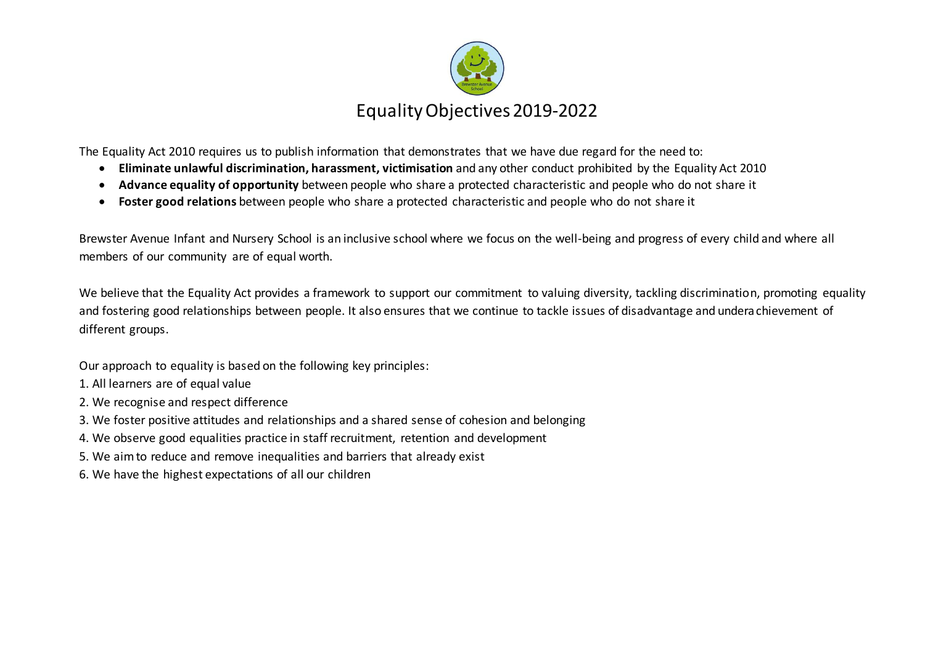

The Equality Act 2010 requires us to publish information that demonstrates that we have due regard for the need to:

- **Eliminate unlawful discrimination, harassment, victimisation** and any other conduct prohibited by the Equality Act 2010
- **Advance equality of opportunity** between people who share a protected characteristic and people who do not share it
- **Foster good relations** between people who share a protected characteristic and people who do not share it

Brewster Avenue Infant and Nursery School is an inclusive school where we focus on the well-being and progress of every child and where all members of our community are of equal worth.

We believe that the Equality Act provides a framework to support our commitment to valuing diversity, tackling discrimination, promoting equality and fostering good relationships between people. It also ensures that we continue to tackle issues of disadvantage and underachievement of different groups.

Our approach to equality is based on the following key principles:

- 1. All learners are of equal value
- 2. We recognise and respect difference
- 3. We foster positive attitudes and relationships and a shared sense of cohesion and belonging
- 4. We observe good equalities practice in staff recruitment, retention and development
- 5. We aim to reduce and remove inequalities and barriers that already exist
- 6. We have the highest expectations of all our children